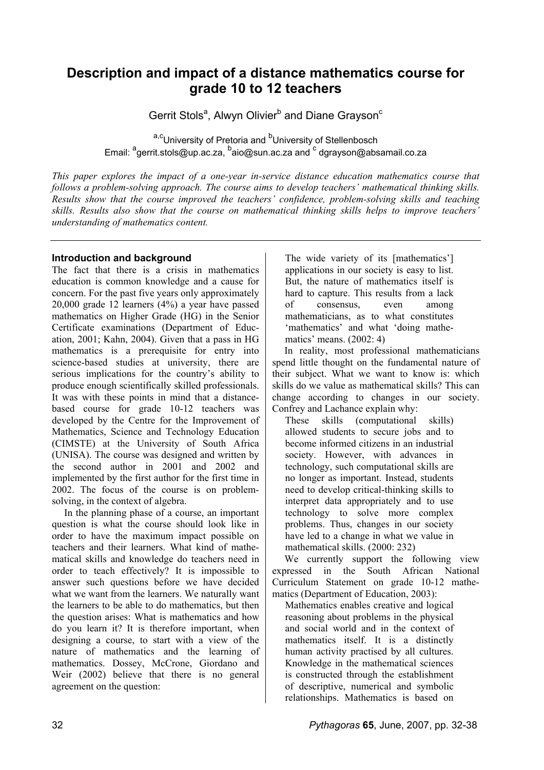# **Description and impact of a distance mathematics course for grade 10 to 12 teachers**

Gerrit Stols<sup>a</sup>, Alwyn Olivier<sup>b</sup> and Diane Grayson<sup>c</sup>

a,cUniversity of Pretoria and <sup>b</sup>University of Stellenbosch Email: <sup>a</sup>gerrit.stols@up.ac.za, <sup>b</sup>aio@sun.ac.za and <sup>c</sup> dgrayson@absamail.co.za

*This paper explores the impact of a one-year in-service distance education mathematics course that follows a problem-solving approach. The course aims to develop teachers' mathematical thinking skills. Results show that the course improved the teachers' confidence, problem-solving skills and teaching skills. Results also show that the course on mathematical thinking skills helps to improve teachers' understanding of mathematics content.* 

# **Introduction and background**

The fact that there is a crisis in mathematics education is common knowledge and a cause for concern. For the past five years only approximately 20,000 grade 12 learners (4%) a year have passed mathematics on Higher Grade (HG) in the Senior Certificate examinations (Department of Education, 2001; Kahn, 2004). Given that a pass in HG mathematics is a prerequisite for entry into science-based studies at university, there are serious implications for the country's ability to produce enough scientifically skilled professionals. It was with these points in mind that a distancebased course for grade 10-12 teachers was developed by the Centre for the Improvement of Mathematics, Science and Technology Education (CIMSTE) at the University of South Africa (UNISA). The course was designed and written by the second author in 2001 and 2002 and implemented by the first author for the first time in 2002. The focus of the course is on problemsolving, in the context of algebra.

In the planning phase of a course, an important question is what the course should look like in order to have the maximum impact possible on teachers and their learners. What kind of mathematical skills and knowledge do teachers need in order to teach effectively? It is impossible to answer such questions before we have decided what we want from the learners. We naturally want the learners to be able to do mathematics, but then the question arises: What is mathematics and how do you learn it? It is therefore important, when designing a course, to start with a view of the nature of mathematics and the learning of mathematics. Dossey, McCrone, Giordano and Weir (2002) believe that there is no general agreement on the question:

The wide variety of its [mathematics'] applications in our society is easy to list. But, the nature of mathematics itself is hard to capture. This results from a lack of consensus, even among mathematicians, as to what constitutes 'mathematics' and what 'doing mathematics' means. (2002: 4)

In reality, most professional mathematicians spend little thought on the fundamental nature of their subject. What we want to know is: which skills do we value as mathematical skills? This can change according to changes in our society. Confrey and Lachance explain why:

These skills (computational skills) allowed students to secure jobs and to become informed citizens in an industrial society. However, with advances in technology, such computational skills are no longer as important. Instead, students need to develop critical-thinking skills to interpret data appropriately and to use technology to solve more complex problems. Thus, changes in our society have led to a change in what we value in mathematical skills. (2000: 232)

We currently support the following view expressed in the South African National Curriculum Statement on grade 10-12 mathematics (Department of Education, 2003):

Mathematics enables creative and logical reasoning about problems in the physical and social world and in the context of mathematics itself. It is a distinctly human activity practised by all cultures. Knowledge in the mathematical sciences is constructed through the establishment of descriptive, numerical and symbolic relationships. Mathematics is based on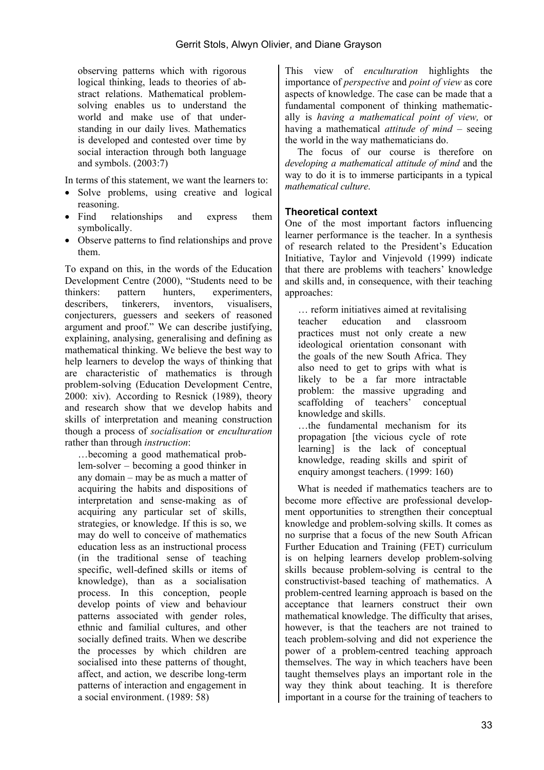observing patterns which with rigorous logical thinking, leads to theories of abstract relations. Mathematical problemsolving enables us to understand the world and make use of that understanding in our daily lives. Mathematics is developed and contested over time by social interaction through both language and symbols. (2003:7)

In terms of this statement, we want the learners to:

- Solve problems, using creative and logical reasoning.
- Find relationships and express them symbolically.
- Observe patterns to find relationships and prove them.

To expand on this, in the words of the Education Development Centre (2000), "Students need to be thinkers: pattern hunters, experimenters, describers, tinkerers, inventors, visualisers, conjecturers, guessers and seekers of reasoned argument and proof." We can describe justifying, explaining, analysing, generalising and defining as mathematical thinking. We believe the best way to help learners to develop the ways of thinking that are characteristic of mathematics is through problem-solving (Education Development Centre, 2000: xiv). According to Resnick (1989), theory and research show that we develop habits and skills of interpretation and meaning construction though a process of *socialisation* or *enculturation* rather than through *instruction*:

…becoming a good mathematical problem-solver – becoming a good thinker in any domain – may be as much a matter of acquiring the habits and dispositions of interpretation and sense-making as of acquiring any particular set of skills, strategies, or knowledge. If this is so, we may do well to conceive of mathematics education less as an instructional process (in the traditional sense of teaching specific, well-defined skills or items of knowledge), than as a socialisation process. In this conception, people develop points of view and behaviour patterns associated with gender roles, ethnic and familial cultures, and other socially defined traits. When we describe the processes by which children are socialised into these patterns of thought, affect, and action, we describe long-term patterns of interaction and engagement in a social environment. (1989: 58)

This view of *enculturation* highlights the importance of *perspective* and *point of view* as core aspects of knowledge. The case can be made that a fundamental component of thinking mathematically is *having a mathematical point of view,* or having a mathematical *attitude of mind* – seeing the world in the way mathematicians do.

The focus of our course is therefore on *developing a mathematical attitude of mind* and the way to do it is to immerse participants in a typical *mathematical culture*.

## **Theoretical context**

One of the most important factors influencing learner performance is the teacher. In a synthesis of research related to the President's Education Initiative, Taylor and Vinjevold (1999) indicate that there are problems with teachers' knowledge and skills and, in consequence, with their teaching approaches:

… reform initiatives aimed at revitalising teacher education and classroom practices must not only create a new ideological orientation consonant with the goals of the new South Africa. They also need to get to grips with what is likely to be a far more intractable problem: the massive upgrading and scaffolding of teachers' conceptual knowledge and skills.

…the fundamental mechanism for its propagation [the vicious cycle of rote learning] is the lack of conceptual knowledge, reading skills and spirit of enquiry amongst teachers. (1999: 160)

What is needed if mathematics teachers are to become more effective are professional development opportunities to strengthen their conceptual knowledge and problem-solving skills. It comes as no surprise that a focus of the new South African Further Education and Training (FET) curriculum is on helping learners develop problem-solving skills because problem-solving is central to the constructivist-based teaching of mathematics. A problem-centred learning approach is based on the acceptance that learners construct their own mathematical knowledge. The difficulty that arises, however, is that the teachers are not trained to teach problem-solving and did not experience the power of a problem-centred teaching approach themselves. The way in which teachers have been taught themselves plays an important role in the way they think about teaching. It is therefore important in a course for the training of teachers to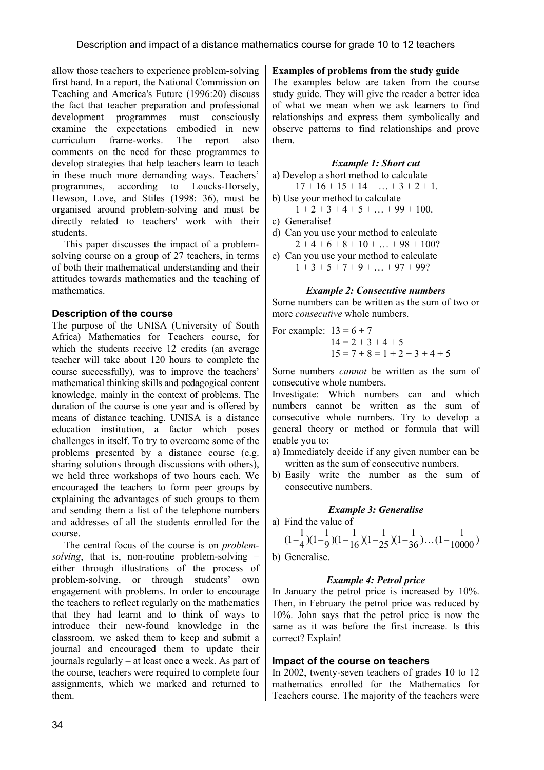allow those teachers to experience problem-solving first hand. In a report, the National Commission on Teaching and America's Future (1996:20) discuss the fact that teacher preparation and professional development programmes must consciously examine the expectations embodied in new curriculum frame-works. The report also comments on the need for these programmes to develop strategies that help teachers learn to teach in these much more demanding ways. Teachers' programmes, according to Loucks-Horsely, Hewson, Love, and Stiles (1998: 36), must be organised around problem-solving and must be directly related to teachers' work with their students.

This paper discusses the impact of a problemsolving course on a group of 27 teachers, in terms of both their mathematical understanding and their attitudes towards mathematics and the teaching of mathematics.

#### **Description of the course**

The purpose of the UNISA (University of South Africa) Mathematics for Teachers course, for which the students receive 12 credits (an average teacher will take about 120 hours to complete the course successfully), was to improve the teachers' mathematical thinking skills and pedagogical content knowledge, mainly in the context of problems. The duration of the course is one year and is offered by means of distance teaching. UNISA is a distance education institution, a factor which poses challenges in itself. To try to overcome some of the problems presented by a distance course (e.g. sharing solutions through discussions with others), we held three workshops of two hours each. We encouraged the teachers to form peer groups by explaining the advantages of such groups to them and sending them a list of the telephone numbers and addresses of all the students enrolled for the course.

The central focus of the course is on *problemsolving*, that is, non-routine problem-solving – either through illustrations of the process of problem-solving, or through students' own engagement with problems. In order to encourage the teachers to reflect regularly on the mathematics that they had learnt and to think of ways to introduce their new-found knowledge in the classroom, we asked them to keep and submit a journal and encouraged them to update their journals regularly – at least once a week. As part of the course, teachers were required to complete four assignments, which we marked and returned to them.

### **Examples of problems from the study guide**

The examples below are taken from the course study guide. They will give the reader a better idea of what we mean when we ask learners to find relationships and express them symbolically and observe patterns to find relationships and prove them.

#### *Example 1: Short cut*

a) Develop a short method to calculate

- $17 + 16 + 15 + 14 + ... + 3 + 2 + 1$ .
- b) Use your method to calculate

 $1 + 2 + 3 + 4 + 5 + \ldots + 99 + 100$ .

- c) Generalise!
- d) Can you use your method to calculate
	- $2 + 4 + 6 + 8 + 10 + \ldots + 98 + 100$ ?
- e) Can you use your method to calculate  $1 + 3 + 5 + 7 + 9 + \ldots + 97 + 99$ ?

#### *Example 2: Consecutive numbers*

Some numbers can be written as the sum of two or more *consecutive* whole numbers.

For example: 
$$
13 = 6 + 7
$$
  
\n $14 = 2 + 3 + 4 + 5$   
\n $15 = 7 + 8 = 1 + 2 + 3 + 4 + 5$ 

Some numbers *cannot* be written as the sum of consecutive whole numbers.

Investigate: Which numbers can and which numbers cannot be written as the sum of consecutive whole numbers. Try to develop a general theory or method or formula that will enable you to:

- a) Immediately decide if any given number can be written as the sum of consecutive numbers.
- b) Easily write the number as the sum of consecutive numbers.

#### *Example 3: Generalise*

a) Find the value of

$$
(1 - \frac{1}{4})(1 - \frac{1}{9})(1 - \frac{1}{16})(1 - \frac{1}{25})(1 - \frac{1}{36})\dots(1 - \frac{1}{10000})
$$

b) Generalise.

#### *Example 4: Petrol price*

In January the petrol price is increased by 10%. Then, in February the petrol price was reduced by 10%. John says that the petrol price is now the same as it was before the first increase. Is this correct? Explain!

#### **Impact of the course on teachers**

In 2002, twenty-seven teachers of grades 10 to 12 mathematics enrolled for the Mathematics for Teachers course. The majority of the teachers were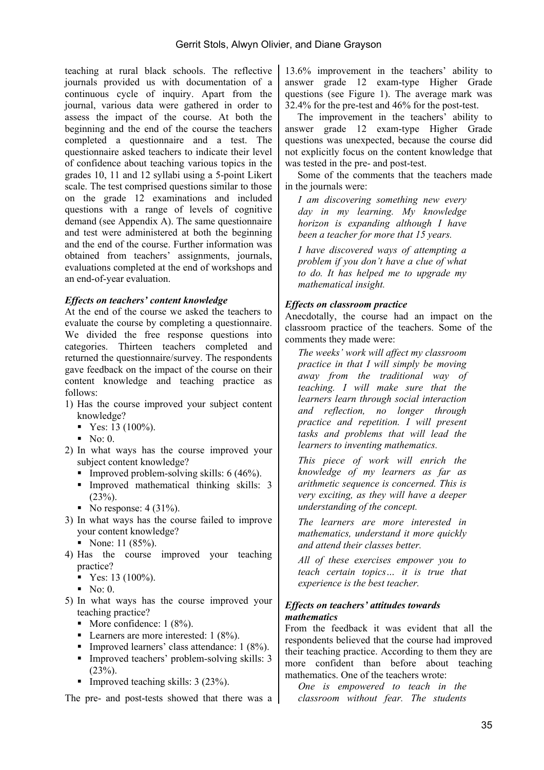teaching at rural black schools. The reflective journals provided us with documentation of a continuous cycle of inquiry. Apart from the journal, various data were gathered in order to assess the impact of the course. At both the beginning and the end of the course the teachers completed a questionnaire and a test. The questionnaire asked teachers to indicate their level of confidence about teaching various topics in the grades 10, 11 and 12 syllabi using a 5-point Likert scale. The test comprised questions similar to those on the grade 12 examinations and included questions with a range of levels of cognitive demand (see Appendix A). The same questionnaire and test were administered at both the beginning and the end of the course. Further information was obtained from teachers' assignments, journals, evaluations completed at the end of workshops and an end-of-year evaluation.

#### *Effects on teachers' content knowledge*

At the end of the course we asked the teachers to evaluate the course by completing a questionnaire. We divided the free response questions into categories. Thirteen teachers completed and returned the questionnaire/survey. The respondents gave feedback on the impact of the course on their content knowledge and teaching practice as follows:

- 1) Has the course improved your subject content knowledge?
	- $\blacktriangleright$  Yes: 13 (100%).
	- $\blacksquare$  No: 0.
- 2) In what ways has the course improved your subject content knowledge?
	- Improved problem-solving skills:  $6(46\%)$ .
	- Improved mathematical thinking skills: 3  $(23\%)$ .
	- No response:  $4(31\%)$ .
- 3) In what ways has the course failed to improve your content knowledge?
	- None:  $11 (85\%)$ .
- 4) Has the course improved your teaching practice?
	- $\blacktriangleright$  Yes: 13 (100%).
	- $\blacksquare$  No: 0.
- 5) In what ways has the course improved your teaching practice?
	- $\blacksquare$  More confidence: 1 (8%).
	- **Learners are more interested:** 1 (8%).
	- Improved learners' class attendance: 1 (8%).
	- Improved teachers' problem-solving skills: 3  $(23%)$
	- Improved teaching skills:  $3(23\%)$ .

The pre- and post-tests showed that there was a

13.6% improvement in the teachers' ability to answer grade 12 exam-type Higher Grade questions (see Figure 1). The average mark was 32.4% for the pre-test and 46% for the post-test.

The improvement in the teachers' ability to answer grade 12 exam-type Higher Grade questions was unexpected, because the course did not explicitly focus on the content knowledge that was tested in the pre- and post-test.

Some of the comments that the teachers made in the journals were:

*I am discovering something new every day in my learning. My knowledge horizon is expanding although I have been a teacher for more that 15 years.* 

*I have discovered ways of attempting a problem if you don't have a clue of what to do. It has helped me to upgrade my mathematical insight.* 

#### *Effects on classroom practice*

Anecdotally, the course had an impact on the classroom practice of the teachers. Some of the comments they made were:

*The weeks' work will affect my classroom practice in that I will simply be moving away from the traditional way of teaching. I will make sure that the learners learn through social interaction and reflection, no longer through practice and repetition. I will present tasks and problems that will lead the learners to inventing mathematics.* 

*This piece of work will enrich the knowledge of my learners as far as arithmetic sequence is concerned. This is very exciting, as they will have a deeper understanding of the concept.* 

*The learners are more interested in mathematics, understand it more quickly and attend their classes better.* 

*All of these exercises empower you to teach certain topics… it is true that experience is the best teacher.* 

#### *Effects on teachers' attitudes towards mathematics*

From the feedback it was evident that all the respondents believed that the course had improved their teaching practice. According to them they are more confident than before about teaching mathematics. One of the teachers wrote:

*One is empowered to teach in the classroom without fear. The students*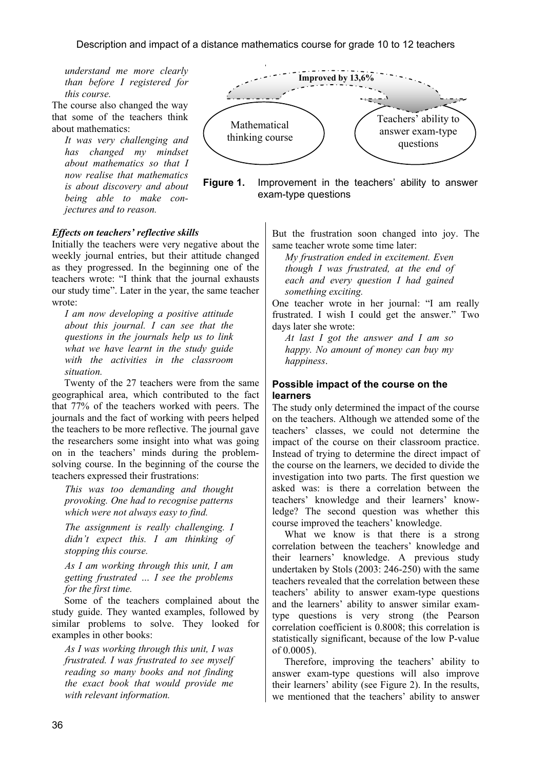*understand me more clearly than before I registered for this course.* 

The course also changed the way that some of the teachers think about mathematics:

*It was very challenging and has changed my mindset about mathematics so that I now realise that mathematics is about discovery and about being able to make conjectures and to reason.* 



**Figure 1.** Improvement in the teachers' ability to answer exam-type questions

#### *Effects on teachers' reflective skills*

Initially the teachers were very negative about the weekly journal entries, but their attitude changed as they progressed. In the beginning one of the teachers wrote: "I think that the journal exhausts our study time". Later in the year, the same teacher wrote:

*I am now developing a positive attitude about this journal. I can see that the questions in the journals help us to link what we have learnt in the study guide with the activities in the classroom situation.* 

Twenty of the 27 teachers were from the same geographical area, which contributed to the fact that 77% of the teachers worked with peers. The journals and the fact of working with peers helped the teachers to be more reflective. The journal gave the researchers some insight into what was going on in the teachers' minds during the problemsolving course. In the beginning of the course the teachers expressed their frustrations:

*This was too demanding and thought provoking. One had to recognise patterns which were not always easy to find.* 

*The assignment is really challenging. I didn't expect this. I am thinking of stopping this course.* 

*As I am working through this unit, I am getting frustrated … I see the problems for the first time.* 

Some of the teachers complained about the study guide. They wanted examples, followed by similar problems to solve. They looked for examples in other books:

*As I was working through this unit, I was frustrated. I was frustrated to see myself reading so many books and not finding the exact book that would provide me with relevant information.* 

But the frustration soon changed into joy. The same teacher wrote some time later:

*My frustration ended in excitement. Even though I was frustrated, at the end of each and every question I had gained something exciting.* 

One teacher wrote in her journal: "I am really frustrated. I wish I could get the answer." Two days later she wrote:

*At last I got the answer and I am so happy. No amount of money can buy my happiness*.

#### **Possible impact of the course on the learners**

The study only determined the impact of the course on the teachers. Although we attended some of the teachers' classes, we could not determine the impact of the course on their classroom practice. Instead of trying to determine the direct impact of the course on the learners, we decided to divide the investigation into two parts. The first question we asked was: is there a correlation between the teachers' knowledge and their learners' knowledge? The second question was whether this course improved the teachers' knowledge.

What we know is that there is a strong correlation between the teachers' knowledge and their learners' knowledge. A previous study undertaken by Stols (2003: 246-250) with the same teachers revealed that the correlation between these teachers' ability to answer exam-type questions and the learners' ability to answer similar examtype questions is very strong (the Pearson correlation coefficient is 0.8008; this correlation is statistically significant, because of the low P-value of 0.0005).

Therefore, improving the teachers' ability to answer exam-type questions will also improve their learners' ability (see Figure 2). In the results, we mentioned that the teachers' ability to answer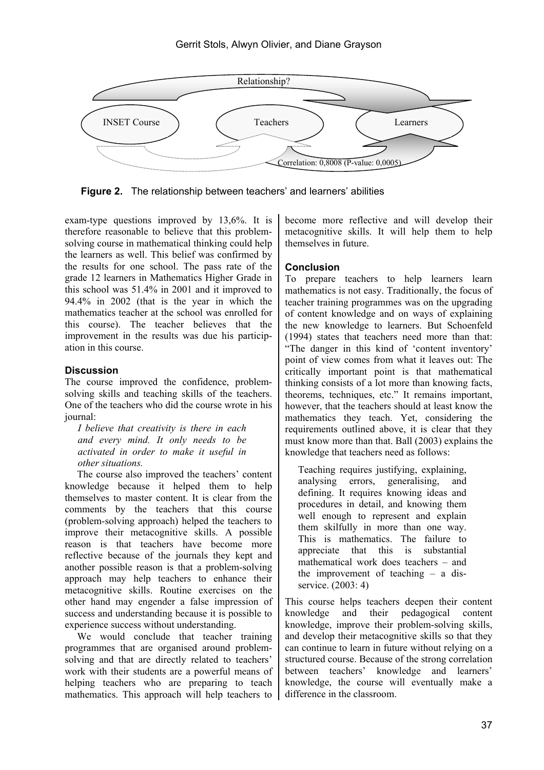

**Figure 2.** The relationship between teachers' and learners' abilities

exam-type questions improved by 13,6%. It is therefore reasonable to believe that this problemsolving course in mathematical thinking could help the learners as well. This belief was confirmed by the results for one school. The pass rate of the grade 12 learners in Mathematics Higher Grade in this school was 51.4% in 2001 and it improved to 94.4% in 2002 (that is the year in which the mathematics teacher at the school was enrolled for this course). The teacher believes that the improvement in the results was due his participation in this course.

# **Discussion**

The course improved the confidence, problemsolving skills and teaching skills of the teachers. One of the teachers who did the course wrote in his journal:

*I believe that creativity is there in each and every mind. It only needs to be activated in order to make it useful in other situations.* 

The course also improved the teachers' content knowledge because it helped them to help themselves to master content. It is clear from the comments by the teachers that this course (problem-solving approach) helped the teachers to improve their metacognitive skills. A possible reason is that teachers have become more reflective because of the journals they kept and another possible reason is that a problem-solving approach may help teachers to enhance their metacognitive skills. Routine exercises on the other hand may engender a false impression of success and understanding because it is possible to experience success without understanding.

We would conclude that teacher training programmes that are organised around problemsolving and that are directly related to teachers' work with their students are a powerful means of helping teachers who are preparing to teach mathematics. This approach will help teachers to become more reflective and will develop their metacognitive skills. It will help them to help themselves in future.

# **Conclusion**

To prepare teachers to help learners learn mathematics is not easy. Traditionally, the focus of teacher training programmes was on the upgrading of content knowledge and on ways of explaining the new knowledge to learners. But Schoenfeld (1994) states that teachers need more than that: "The danger in this kind of 'content inventory' point of view comes from what it leaves out: The critically important point is that mathematical thinking consists of a lot more than knowing facts, theorems, techniques, etc." It remains important, however, that the teachers should at least know the mathematics they teach. Yet, considering the requirements outlined above, it is clear that they must know more than that. Ball (2003) explains the knowledge that teachers need as follows:

Teaching requires justifying, explaining, analysing errors, generalising, and defining. It requires knowing ideas and procedures in detail, and knowing them well enough to represent and explain them skilfully in more than one way. This is mathematics. The failure to appreciate that this is substantial mathematical work does teachers – and the improvement of teaching – a disservice. (2003: 4)

This course helps teachers deepen their content knowledge and their pedagogical content knowledge, improve their problem-solving skills, and develop their metacognitive skills so that they can continue to learn in future without relying on a structured course. Because of the strong correlation between teachers' knowledge and learners' knowledge, the course will eventually make a difference in the classroom.